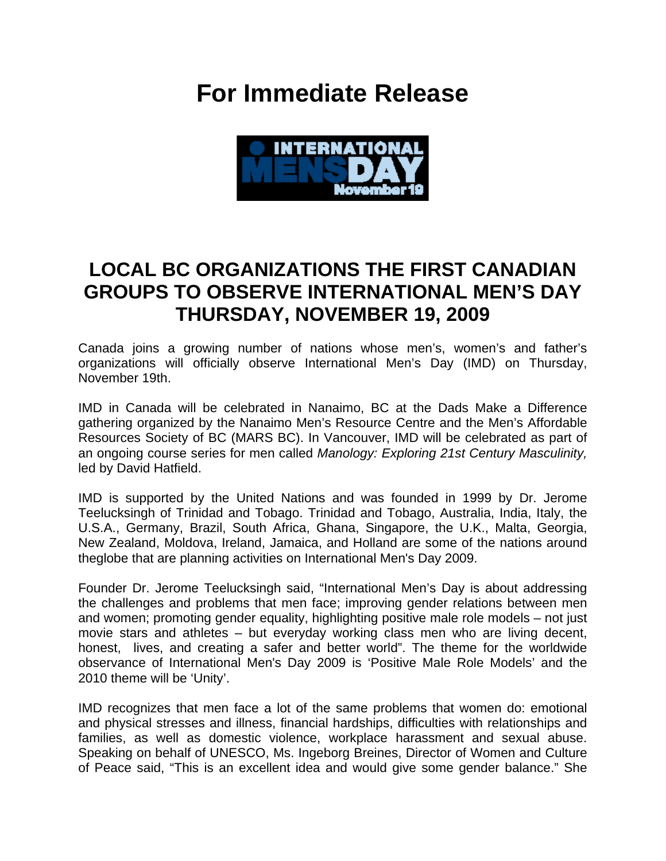## **For Immediate Release**



## **LOCAL BC ORGANIZATIONS THE FIRST CANADIAN GROUPS TO OBSERVE INTERNATIONAL MEN'S DAY THURSDAY, NOVEMBER 19, 2009**

Canada joins a growing number of nations whose men's, women's and father's organizations will officially observe International Men's Day (IMD) on Thursday, November 19th.

IMD in Canada will be celebrated in Nanaimo, BC at the Dads Make a Difference gathering organized by the Nanaimo Men's Resource Centre and the Men's Affordable Resources Society of BC (MARS BC). In Vancouver, IMD will be celebrated as part of an ongoing course series for men called *Manology: Exploring 21st Century Masculinity,*  led by David Hatfield.

IMD is supported by the United Nations and was founded in 1999 by Dr. Jerome Teelucksingh of Trinidad and Tobago. Trinidad and Tobago, Australia, India, Italy, the U.S.A., Germany, Brazil, South Africa, Ghana, Singapore, the U.K., Malta, Georgia, New Zealand, Moldova, Ireland, Jamaica, and Holland are some of the nations around theglobe that are planning activities on International Men's Day 2009.

Founder Dr. Jerome Teelucksingh said, "International Men's Day is about addressing the challenges and problems that men face; improving gender relations between men and women; promoting gender equality, highlighting positive male role models – not just movie stars and athletes – but everyday working class men who are living decent, honest, lives, and creating a safer and better world". The theme for the worldwide observance of International Men's Day 2009 is 'Positive Male Role Models' and the 2010 theme will be 'Unity'.

IMD recognizes that men face a lot of the same problems that women do: emotional and physical stresses and illness, financial hardships, difficulties with relationships and families, as well as domestic violence, workplace harassment and sexual abuse. Speaking on behalf of UNESCO, Ms. Ingeborg Breines, Director of Women and Culture of Peace said, "This is an excellent idea and would give some gender balance." She